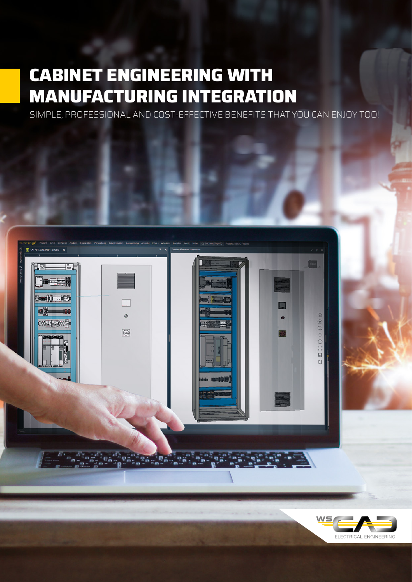# **CABINET ENGINEERING WITH MANUFACTURING INTEGRATION**

SIMPLE, PROFESSIONAL AND COST-EFFECTIVE BENEFITS THAT YOU CAN ENJOY TOO!

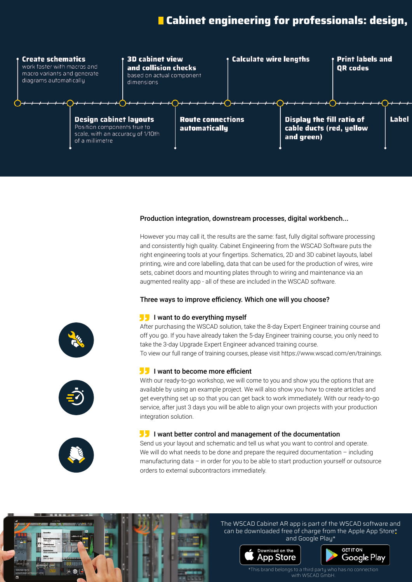# **L** Cabinet engineering for professionals: design,



#### Production integration, downstream processes, digital workbench...

However you may call it, the results are the same: fast, fully digital software processing and consistently high quality. Cabinet Engineering from the WSCAD Software puts the right engineering tools at your fingertips. Schematics, 2D and 3D cabinet layouts, label printing, wire and core labelling, data that can be used for the production of wires, wire sets, cabinet doors and mounting plates through to wiring and maintenance via an augmented reality app - all of these are included in the WSCAD software.

#### Three ways to improve efficiency. Which one will you choose?

# I want to do everything myself **"**

After purchasing the WSCAD solution, take the 8-day Expert Engineer training course and off you go. If you have already taken the 5-day Engineer training course, you only need to take the 3-day Upgrade Expert Engineer advanced training course. To view our full range of training courses, please visit https://www.wscad.com/en/trainings.

# **I** want to become more efficient

With our ready-to-go workshop, we will come to you and show you the options that are available by using an example project. We will also show you how to create articles and get everything set up so that you can get back to work immediately. With our ready-to-go service, after just 3 days you will be able to align your own projects with your production integration solution.

# **I** want better control and management of the documentation

Send us your layout and schematic and tell us what you want to control and operate. We will do what needs to be done and prepare the required documentation  $-$  including manufacturing data – in order for you to be able to start production yourself or outsource orders to external subcontractors immediately.



#### The WSCAD Cabinet AR app is part of the WSCAD software and can be downloaded free of charge from the Apple App Store\* and Google Play\*





\*This brand belongs to a third party who has no connection with WSCAD GmbH.





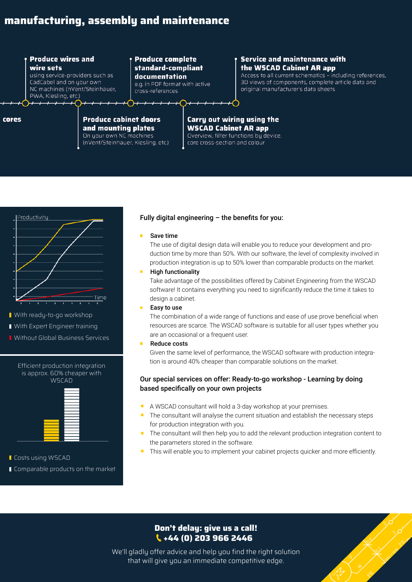# **Cabinet engineering for professionals: design, manufacturing, assembly and maintenance**

### **Produce wires and** wire sets

using service-providers such as CadCabel and on your own NC machines (nVent/Steinhauer, PWA, Kiesling, etc.)

## **Produce complete** standard-compliant documentation

e.g. in PDF format with active cross-references

## **Service and maintenance with** the WSCAD Cabinet AR app

Access to all current schematics - including references. 3D views of components, complete article data and original manufacturer's data sheets

#### cores

### **Produce cabinet doors** and mounting plates On your own NC machines

(nVent/Steinhauer, Kiesling, etc.)

#### Carry out wiring using the **WSCAD Cabinet AR app** Overview, filter functions by device, core cross-section and colour



- **N** With ready-to-go workshop
- With Expert Engineer training
- **N** Without Global Business Services

#### Efficient production integration is approx. 60% cheaper with **WSCAD**



# **Costs using WSCAD Comparable products on the market**

### Fully digital engineering  $-$  the benefits for you:

#### Save time

The use of digital design data will enable you to reduce your development and production time by more than 50%. With our software, the level of complexity involved in production integration is up to 50% lower than comparable products on the market.

#### High functionality

Take advantage of the possibilities offered by Cabinet Engineering from the WSCAD software! It contains everything you need to significantly reduce the time it takes to design a cabinet.

Easy to use

The combination of a wide range of functions and ease of use prove beneficial when resources are scarce. The WSCAD software is suitable for all user types whether you are an occasional or a frequent user.

Reduce costs

Given the same level of performance, the WSCAD software with production integration is around 40% cheaper than comparable solutions on the market.

### Our special services on offer: Ready-to-go workshop - Learning by doing based specifically on your own projects

- A WSCAD consultant will hold a 3-day workshop at your premises.
- The consultant will analyse the current situation and establish the necessary steps for production integration with you.
- The consultant will then help you to add the relevant production integration content to the parameters stored in the software.
- This will enable you to implement your cabinet projects quicker and more efficiently.

# **Don't delay: give us a call! +44 (0) 203 966 2446**

We'll gladly offer advice and help you find the right solution that will give you an immediate competitive edge.